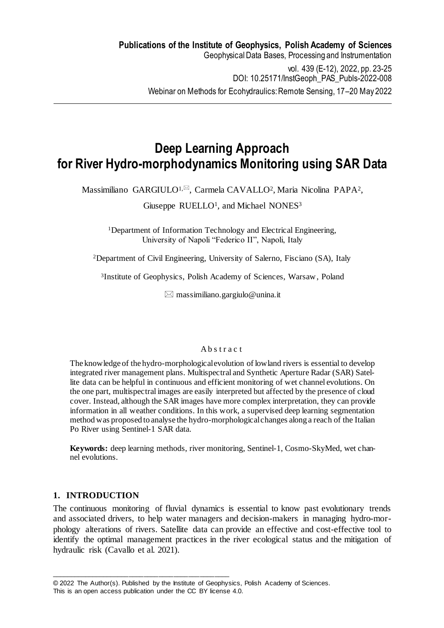**Deep Learning Approach for River Hydro-morphodynamics Monitoring using SAR Data**

Massimiliano GARGIULO<sup>1, $\boxtimes$ </sup>, Carmela CAVALLO<sup>2</sup>, Maria Nicolina PAPA<sup>2</sup>,

Giuseppe RUELLO<sup>1</sup>, and Michael NONES<sup>3</sup>

<sup>1</sup>Department of Information Technology and Electrical Engineering, University of Napoli "Federico II", Napoli, Italy

<sup>2</sup>Department of Civil Engineering, University of Salerno, Fisciano (SA), Italy

3 Institute of Geophysics, Polish Academy of Sciences, Warsaw, Poland

 $\boxtimes$  massimiliano.gargiulo@unina.it

#### A b s t r a c t

The knowledge of the hydro-morphological evolution of lowland rivers is essential to develop integrated river management plans. Multispectral and Synthetic Aperture Radar (SAR) Satellite data can be helpful in continuous and efficient monitoring of wet channel evolutions. On the one part, multispectral images are easily interpreted but affected by the presence of cloud cover. Instead, although the SAR images have more complex interpretation, they can provide information in all weather conditions. In this work, a supervised deep learning segmentation method was proposed to analyse the hydro-morphological changes along a reach of the Italian Po River using Sentinel-1 SAR data.

**Keywords:** deep learning methods, river monitoring, Sentinel-1, Cosmo-SkyMed, wet channel evolutions.

## **1. INTRODUCTION**

The continuous monitoring of fluvial dynamics is essential to know past evolutionary trends and associated drivers, to help water managers and decision-makers in managing hydro-morphology alterations of rivers. Satellite data can provide an effective and cost-effective tool to identify the optimal management practices in the river ecological status and the mitigation of hydraulic risk (Cavallo et al. 2021).

This is an open access publication under the CC BY license 4.0.

\_\_\_\_\_\_\_\_\_\_\_\_\_\_\_\_\_\_\_\_\_\_\_\_\_\_\_\_\_\_\_\_\_\_\_\_\_\_\_\_\_\_\_\_\_\_\_\_

<sup>© 2022</sup> The Author(s). Published by the Institute of Geophysics, Polish Academy of Sciences.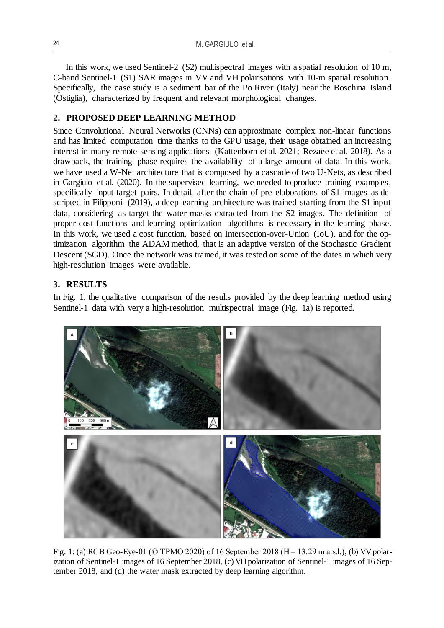In this work, we used Sentinel-2 (S2) multispectral images with a spatial resolution of 10 m, C-band Sentinel-1 (S1) SAR images in VV and VH polarisations with 10-m spatial resolution. Specifically, the case study is a sediment bar of the Po River (Italy) near the Boschina Island (Ostiglia), characterized by frequent and relevant morphological changes.

# **2. PROPOSED DEEP LEARNING METHOD**

Since Convolutional Neural Networks (CNNs) can approximate complex non-linear functions and has limited computation time thanks to the GPU usage, their usage obtained an increasing interest in many remote sensing applications (Kattenborn et al. 2021; Rezaee et al. 2018). As a drawback, the training phase requires the availability of a large amount of data. In this work, we have used a W-Net architecture that is composed by a cascade of two U-Nets, as described in Gargiulo et al. (2020). In the supervised learning, we needed to produce training examples, specifically input-target pairs. In detail, after the chain of pre-elaborations of S1 images as descripted in Filipponi (2019), a deep learning architecture was trained starting from the S1 input data, considering as target the water masks extracted from the S2 images. The definition of proper cost functions and learning optimization algorithms is necessary in the learning phase. In this work, we used a cost function, based on Intersection-over-Union (IoU), and for the optimization algorithm the ADAM method, that is an adaptive version of the Stochastic Gradient Descent (SGD). Once the network was trained, it was tested on some of the dates in which very high-resolution images were available.

# **3. RESULTS**

In Fig. 1, the qualitative comparison of the results provided by the deep learning method using Sentinel-1 data with very a high-resolution multispectral image (Fig. 1a) is reported.



Fig. 1: (a) RGB Geo-Eye-01 ( $\odot$  TPMO 2020) of 16 September 2018 (H = 13.29 m a.s.l.), (b) VV polarization of Sentinel-1 images of 16 September 2018, (c) VH polarization of Sentinel-1 images of 16 September 2018, and (d) the water mask extracted by deep learning algorithm.